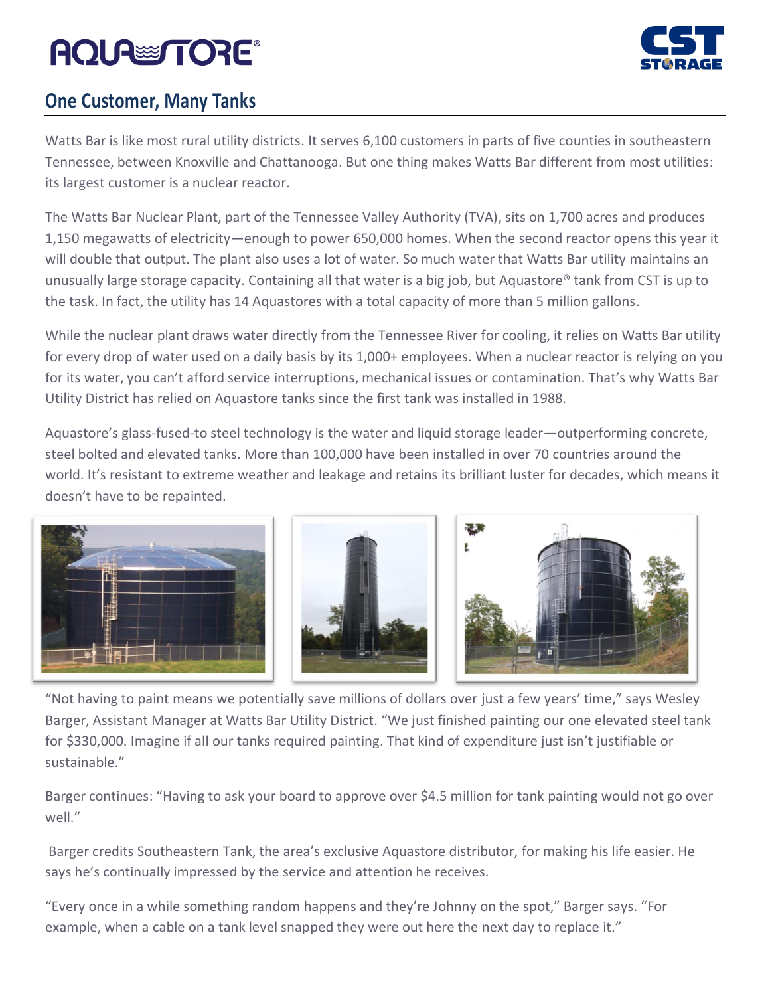### **AQUA TORE**®



### **One Customer, Many Tanks**

Watts Bar is like most rural utility districts. It serves 6,100 customers in parts of five counties in southeastern Tennessee, between Knoxville and Chattanooga. But one thing makes Watts Bar different from most utilities: its largest customer is a nuclear reactor.

The Watts Bar Nuclear Plant, part of the Tennessee Valley Authority (TVA), sits on 1,700 acres and produces 1,150 megawatts of electricity—enough to power 650,000 homes. When the second reactor opens this year it will double that output. The plant also uses a lot of water. So much water that Watts Bar utility maintains an unusually large storage capacity. Containing all that water is a big job, but Aquastore® tank from CST is up to the task. In fact, the utility has 14 Aquastores with a total capacity of more than 5 million gallons.

While the nuclear plant draws water directly from the Tennessee River for cooling, it relies on Watts Bar utility for every drop of water used on a daily basis by its 1,000+ employees. When a nuclear reactor is relying on you for its water, you can't afford service interruptions, mechanical issues or contamination. That's why Watts Bar Utility District has relied on Aquastore tanks since the first tank was installed in 1988.

Aquastore's glass-fused-to steel technology is the water and liquid storage leader—outperforming concrete, steel bolted and elevated tanks. More than 100,000 have been installed in over 70 countries around the world. It's resistant to extreme weather and leakage and retains its brilliant luster for decades, which means it doesn't have to be repainted.



"Not having to paint means we potentially save millions of dollars over just a few years' time," says Wesley Barger, Assistant Manager at Watts Bar Utility District. "We just finished painting our one elevated steel tank for \$330,000. Imagine if all our tanks required painting. That kind of expenditure just isn't justifiable or sustainable."

Barger continues: "Having to ask your board to approve over \$4.5 million for tank painting would not go over well."

Barger credits Southeastern Tank, the area's exclusive Aquastore distributor, for making his life easier. He says he's continually impressed by the service and attention he receives.

"Every once in a while something random happens and they're Johnny on the spot," Barger says. "For example, when a cable on a tank level snapped they were out here the next day to replace it."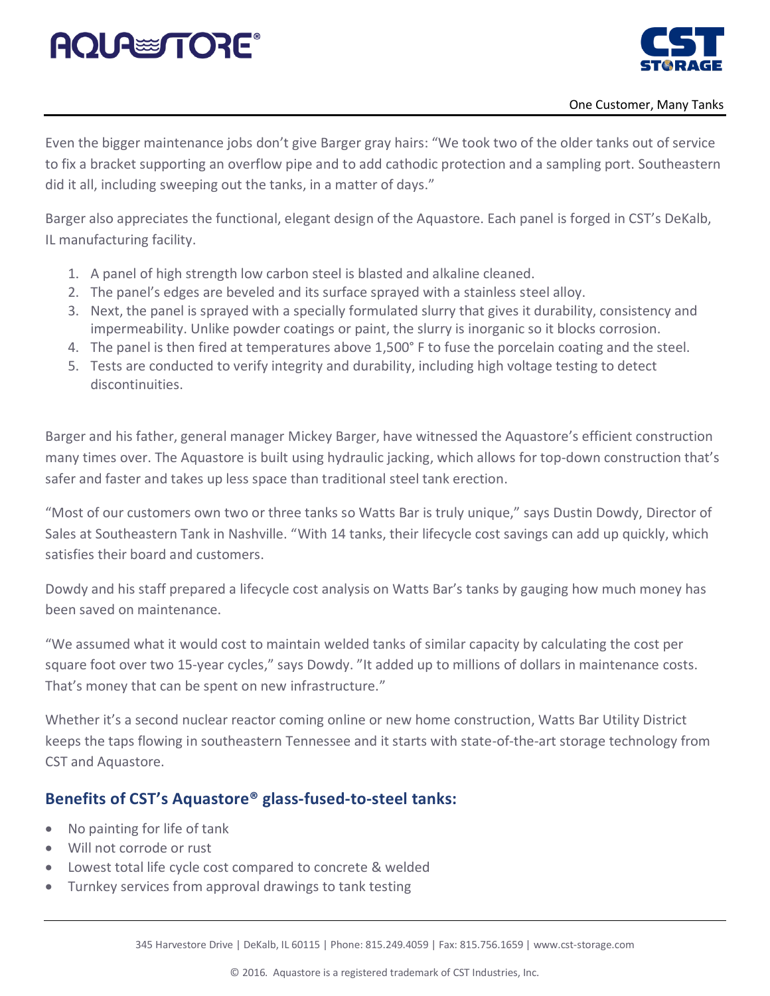# **AQUA TORE**



Even the bigger maintenance jobs don't give Barger gray hairs: "We took two of the older tanks out of service to fix a bracket supporting an overflow pipe and to add cathodic protection and a sampling port. Southeastern did it all, including sweeping out the tanks, in a matter of days."

Barger also appreciates the functional, elegant design of the Aquastore. Each panel is forged in CST's DeKalb, IL manufacturing facility.

- 1. A panel of high strength low carbon steel is blasted and alkaline cleaned.
- 2. The panel's edges are beveled and its surface sprayed with a stainless steel alloy.
- 3. Next, the panel is sprayed with a specially formulated slurry that gives it durability, consistency and impermeability. Unlike powder coatings or paint, the slurry is inorganic so it blocks corrosion.
- 4. The panel is then fired at temperatures above 1,500° F to fuse the porcelain coating and the steel.
- 5. Tests are conducted to verify integrity and durability, including high voltage testing to detect discontinuities.

Barger and his father, general manager Mickey Barger, have witnessed the Aquastore's efficient construction many times over. The Aquastore is built using hydraulic jacking, which allows for top-down construction that's safer and faster and takes up less space than traditional steel tank erection.

"Most of our customers own two or three tanks so Watts Bar is truly unique," says Dustin Dowdy, Director of Sales at Southeastern Tank in Nashville. "With 14 tanks, their lifecycle cost savings can add up quickly, which satisfies their board and customers.

Dowdy and his staff prepared a lifecycle cost analysis on Watts Bar's tanks by gauging how much money has been saved on maintenance.

"We assumed what it would cost to maintain welded tanks of similar capacity by calculating the cost per square foot over two 15-year cycles," says Dowdy. "It added up to millions of dollars in maintenance costs. That's money that can be spent on new infrastructure."

Whether it's a second nuclear reactor coming online or new home construction, Watts Bar Utility District keeps the taps flowing in southeastern Tennessee and it starts with state-of-the-art storage technology from CST and Aquastore.

#### **Benefits of CST's Aquastore® glass-fused-to-steel tanks:**

- No painting for life of tank
- Will not corrode or rust
- Lowest total life cycle cost compared to concrete & welded
- Turnkey services from approval drawings to tank testing